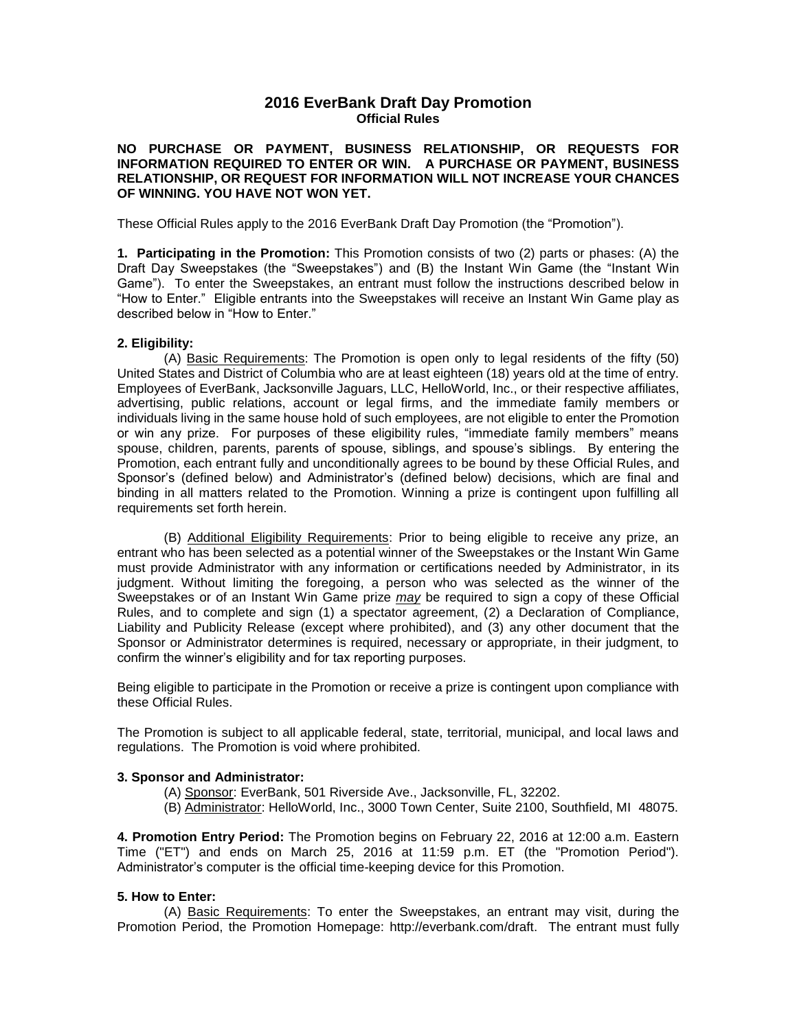# **2016 EverBank Draft Day Promotion Official Rules**

**NO PURCHASE OR PAYMENT, BUSINESS RELATIONSHIP, OR REQUESTS FOR INFORMATION REQUIRED TO ENTER OR WIN. A PURCHASE OR PAYMENT, BUSINESS RELATIONSHIP, OR REQUEST FOR INFORMATION WILL NOT INCREASE YOUR CHANCES OF WINNING. YOU HAVE NOT WON YET.**

These Official Rules apply to the 2016 EverBank Draft Day Promotion (the "Promotion").

**1. Participating in the Promotion:** This Promotion consists of two (2) parts or phases: (A) the Draft Day Sweepstakes (the "Sweepstakes") and (B) the Instant Win Game (the "Instant Win Game"). To enter the Sweepstakes, an entrant must follow the instructions described below in "How to Enter." Eligible entrants into the Sweepstakes will receive an Instant Win Game play as described below in "How to Enter."

## **2. Eligibility:**

(A) Basic Requirements: The Promotion is open only to legal residents of the fifty (50) United States and District of Columbia who are at least eighteen (18) years old at the time of entry. Employees of EverBank, Jacksonville Jaguars, LLC, HelloWorld, Inc., or their respective affiliates, advertising, public relations, account or legal firms, and the immediate family members or individuals living in the same house hold of such employees, are not eligible to enter the Promotion or win any prize. For purposes of these eligibility rules, "immediate family members" means spouse, children, parents, parents of spouse, siblings, and spouse's siblings. By entering the Promotion, each entrant fully and unconditionally agrees to be bound by these Official Rules, and Sponsor's (defined below) and Administrator's (defined below) decisions, which are final and binding in all matters related to the Promotion. Winning a prize is contingent upon fulfilling all requirements set forth herein.

(B) Additional Eligibility Requirements: Prior to being eligible to receive any prize, an entrant who has been selected as a potential winner of the Sweepstakes or the Instant Win Game must provide Administrator with any information or certifications needed by Administrator, in its judgment. Without limiting the foregoing, a person who was selected as the winner of the Sweepstakes or of an Instant Win Game prize *may* be required to sign a copy of these Official Rules, and to complete and sign (1) a spectator agreement, (2) a Declaration of Compliance, Liability and Publicity Release (except where prohibited), and (3) any other document that the Sponsor or Administrator determines is required, necessary or appropriate, in their judgment, to confirm the winner's eligibility and for tax reporting purposes.

Being eligible to participate in the Promotion or receive a prize is contingent upon compliance with these Official Rules.

The Promotion is subject to all applicable federal, state, territorial, municipal, and local laws and regulations. The Promotion is void where prohibited.

## **3. Sponsor and Administrator:**

- (A) Sponsor: EverBank, 501 Riverside Ave., Jacksonville, FL, 32202.
- (B) Administrator: HelloWorld, Inc., 3000 Town Center, Suite 2100, Southfield, MI 48075.

**4. Promotion Entry Period:** The Promotion begins on February 22, 2016 at 12:00 a.m. Eastern Time ("ET") and ends on March 25, 2016 at 11:59 p.m. ET (the "Promotion Period"). Administrator's computer is the official time-keeping device for this Promotion.

## **5. How to Enter:**

(A) Basic Requirements: To enter the Sweepstakes, an entrant may visit, during the Promotion Period, the Promotion Homepage: http://everbank.com/draft. The entrant must fully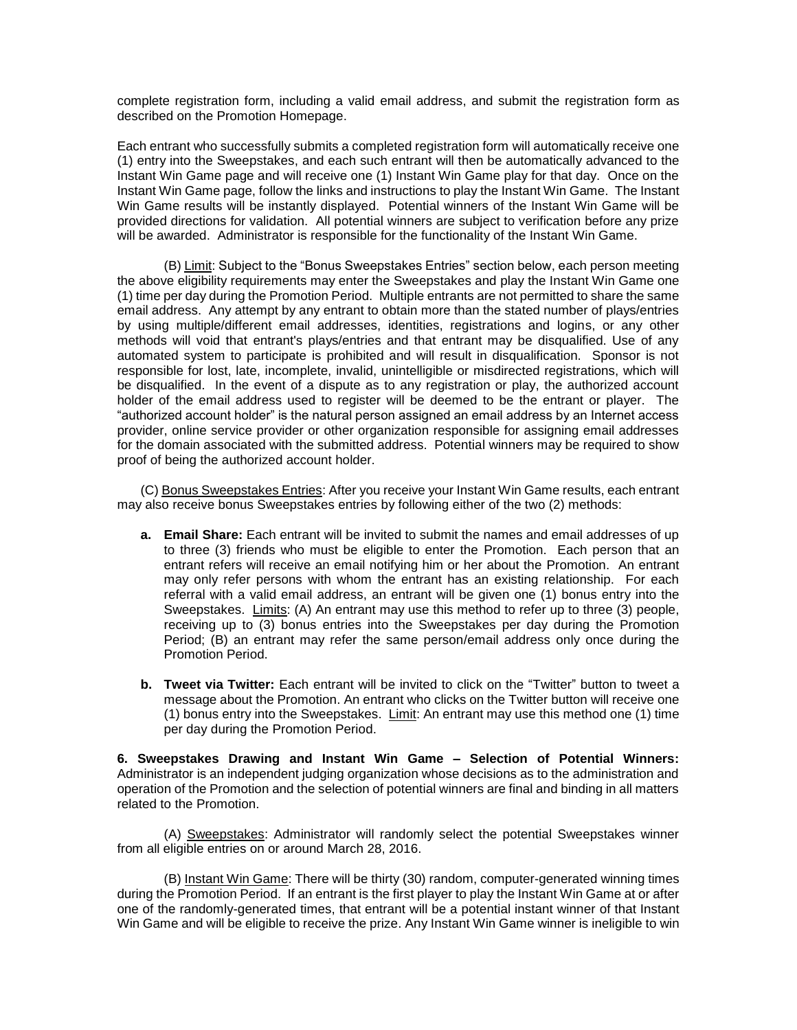complete registration form, including a valid email address, and submit the registration form as described on the Promotion Homepage.

Each entrant who successfully submits a completed registration form will automatically receive one (1) entry into the Sweepstakes, and each such entrant will then be automatically advanced to the Instant Win Game page and will receive one (1) Instant Win Game play for that day. Once on the Instant Win Game page, follow the links and instructions to play the Instant Win Game. The Instant Win Game results will be instantly displayed. Potential winners of the Instant Win Game will be provided directions for validation. All potential winners are subject to verification before any prize will be awarded. Administrator is responsible for the functionality of the Instant Win Game.

(B) Limit: Subject to the "Bonus Sweepstakes Entries" section below, each person meeting the above eligibility requirements may enter the Sweepstakes and play the Instant Win Game one (1) time per day during the Promotion Period. Multiple entrants are not permitted to share the same email address. Any attempt by any entrant to obtain more than the stated number of plays/entries by using multiple/different email addresses, identities, registrations and logins, or any other methods will void that entrant's plays/entries and that entrant may be disqualified. Use of any automated system to participate is prohibited and will result in disqualification. Sponsor is not responsible for lost, late, incomplete, invalid, unintelligible or misdirected registrations, which will be disqualified. In the event of a dispute as to any registration or play, the authorized account holder of the email address used to register will be deemed to be the entrant or player. The "authorized account holder" is the natural person assigned an email address by an Internet access provider, online service provider or other organization responsible for assigning email addresses for the domain associated with the submitted address. Potential winners may be required to show proof of being the authorized account holder.

(C) Bonus Sweepstakes Entries: After you receive your Instant Win Game results, each entrant may also receive bonus Sweepstakes entries by following either of the two (2) methods:

- **a. Email Share:** Each entrant will be invited to submit the names and email addresses of up to three (3) friends who must be eligible to enter the Promotion. Each person that an entrant refers will receive an email notifying him or her about the Promotion. An entrant may only refer persons with whom the entrant has an existing relationship. For each referral with a valid email address, an entrant will be given one (1) bonus entry into the Sweepstakes. Limits: (A) An entrant may use this method to refer up to three (3) people, receiving up to (3) bonus entries into the Sweepstakes per day during the Promotion Period; (B) an entrant may refer the same person/email address only once during the Promotion Period.
- **b. Tweet via Twitter:** Each entrant will be invited to click on the "Twitter" button to tweet a message about the Promotion. An entrant who clicks on the Twitter button will receive one (1) bonus entry into the Sweepstakes. Limit: An entrant may use this method one  $(1)$  time per day during the Promotion Period.

**6. Sweepstakes Drawing and Instant Win Game – Selection of Potential Winners:**  Administrator is an independent judging organization whose decisions as to the administration and operation of the Promotion and the selection of potential winners are final and binding in all matters related to the Promotion.

(A) Sweepstakes: Administrator will randomly select the potential Sweepstakes winner from all eligible entries on or around March 28, 2016.

(B) Instant Win Game: There will be thirty (30) random, computer-generated winning times during the Promotion Period. If an entrant is the first player to play the Instant Win Game at or after one of the randomly-generated times, that entrant will be a potential instant winner of that Instant Win Game and will be eligible to receive the prize. Any Instant Win Game winner is ineligible to win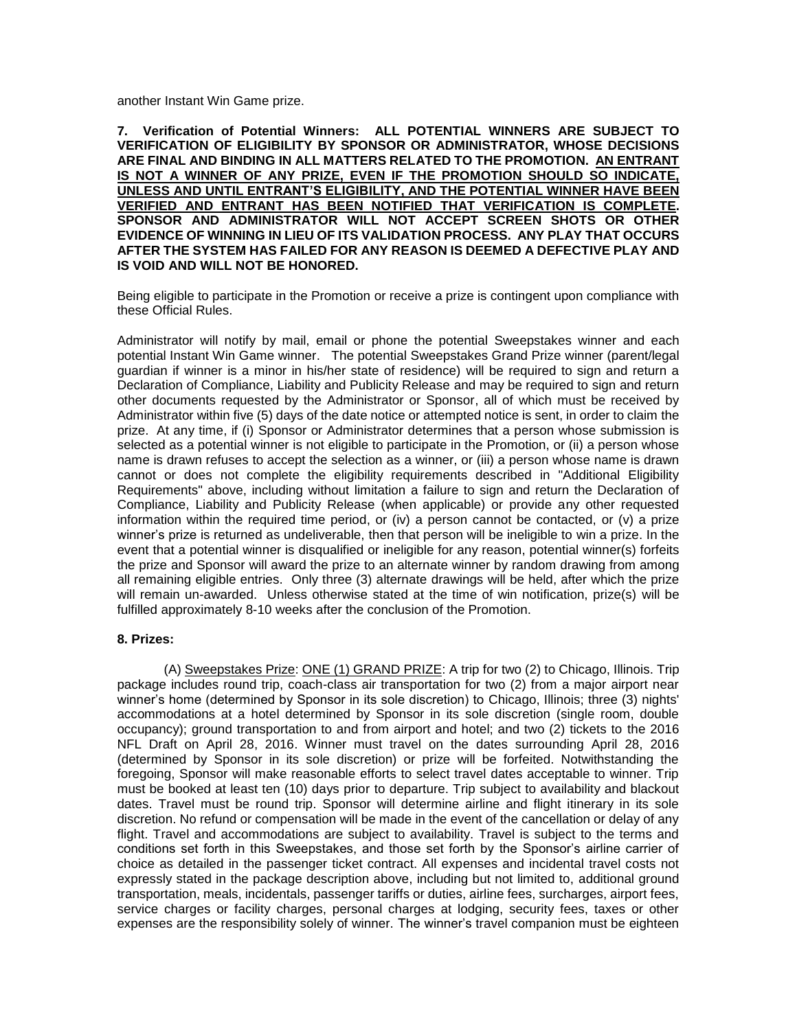another Instant Win Game prize.

**7. Verification of Potential Winners: ALL POTENTIAL WINNERS ARE SUBJECT TO VERIFICATION OF ELIGIBILITY BY SPONSOR OR ADMINISTRATOR, WHOSE DECISIONS ARE FINAL AND BINDING IN ALL MATTERS RELATED TO THE PROMOTION. AN ENTRANT IS NOT A WINNER OF ANY PRIZE, EVEN IF THE PROMOTION SHOULD SO INDICATE, UNLESS AND UNTIL ENTRANT'S ELIGIBILITY, AND THE POTENTIAL WINNER HAVE BEEN VERIFIED AND ENTRANT HAS BEEN NOTIFIED THAT VERIFICATION IS COMPLETE. SPONSOR AND ADMINISTRATOR WILL NOT ACCEPT SCREEN SHOTS OR OTHER EVIDENCE OF WINNING IN LIEU OF ITS VALIDATION PROCESS. ANY PLAY THAT OCCURS AFTER THE SYSTEM HAS FAILED FOR ANY REASON IS DEEMED A DEFECTIVE PLAY AND IS VOID AND WILL NOT BE HONORED.**

Being eligible to participate in the Promotion or receive a prize is contingent upon compliance with these Official Rules.

Administrator will notify by mail, email or phone the potential Sweepstakes winner and each potential Instant Win Game winner. The potential Sweepstakes Grand Prize winner (parent/legal guardian if winner is a minor in his/her state of residence) will be required to sign and return a Declaration of Compliance, Liability and Publicity Release and may be required to sign and return other documents requested by the Administrator or Sponsor, all of which must be received by Administrator within five (5) days of the date notice or attempted notice is sent, in order to claim the prize. At any time, if (i) Sponsor or Administrator determines that a person whose submission is selected as a potential winner is not eligible to participate in the Promotion, or (ii) a person whose name is drawn refuses to accept the selection as a winner, or (iii) a person whose name is drawn cannot or does not complete the eligibility requirements described in "Additional Eligibility Requirements" above, including without limitation a failure to sign and return the Declaration of Compliance, Liability and Publicity Release (when applicable) or provide any other requested information within the required time period, or (iv) a person cannot be contacted, or (v) a prize winner's prize is returned as undeliverable, then that person will be ineligible to win a prize. In the event that a potential winner is disqualified or ineligible for any reason, potential winner(s) forfeits the prize and Sponsor will award the prize to an alternate winner by random drawing from among all remaining eligible entries. Only three (3) alternate drawings will be held, after which the prize will remain un-awarded. Unless otherwise stated at the time of win notification, prize(s) will be fulfilled approximately 8-10 weeks after the conclusion of the Promotion.

## **8. Prizes:**

(A) Sweepstakes Prize: ONE (1) GRAND PRIZE: A trip for two (2) to Chicago, Illinois. Trip package includes round trip, coach-class air transportation for two (2) from a major airport near winner's home (determined by Sponsor in its sole discretion) to Chicago, Illinois; three (3) nights' accommodations at a hotel determined by Sponsor in its sole discretion (single room, double occupancy); ground transportation to and from airport and hotel; and two (2) tickets to the 2016 NFL Draft on April 28, 2016. Winner must travel on the dates surrounding April 28, 2016 (determined by Sponsor in its sole discretion) or prize will be forfeited. Notwithstanding the foregoing, Sponsor will make reasonable efforts to select travel dates acceptable to winner. Trip must be booked at least ten (10) days prior to departure. Trip subject to availability and blackout dates. Travel must be round trip. Sponsor will determine airline and flight itinerary in its sole discretion. No refund or compensation will be made in the event of the cancellation or delay of any flight. Travel and accommodations are subject to availability. Travel is subject to the terms and conditions set forth in this Sweepstakes, and those set forth by the Sponsor's airline carrier of choice as detailed in the passenger ticket contract. All expenses and incidental travel costs not expressly stated in the package description above, including but not limited to, additional ground transportation, meals, incidentals, passenger tariffs or duties, airline fees, surcharges, airport fees, service charges or facility charges, personal charges at lodging, security fees, taxes or other expenses are the responsibility solely of winner. The winner's travel companion must be eighteen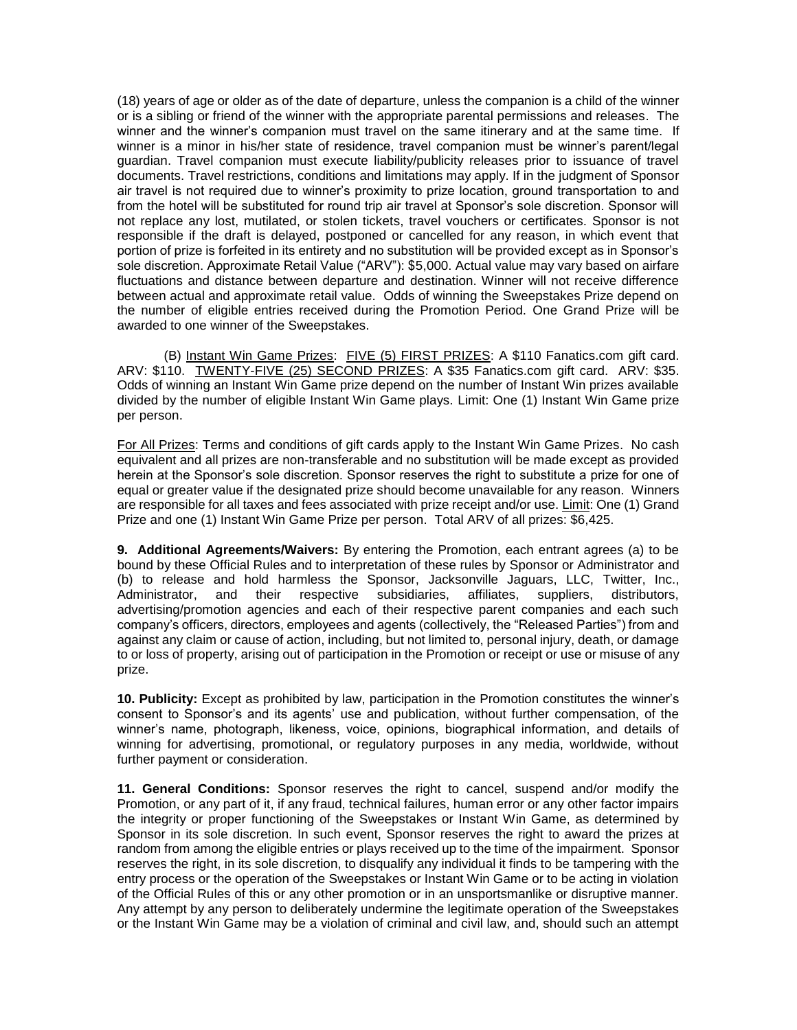(18) years of age or older as of the date of departure, unless the companion is a child of the winner or is a sibling or friend of the winner with the appropriate parental permissions and releases. The winner and the winner's companion must travel on the same itinerary and at the same time. If winner is a minor in his/her state of residence, travel companion must be winner's parent/legal guardian. Travel companion must execute liability/publicity releases prior to issuance of travel documents. Travel restrictions, conditions and limitations may apply. If in the judgment of Sponsor air travel is not required due to winner's proximity to prize location, ground transportation to and from the hotel will be substituted for round trip air travel at Sponsor's sole discretion. Sponsor will not replace any lost, mutilated, or stolen tickets, travel vouchers or certificates. Sponsor is not responsible if the draft is delayed, postponed or cancelled for any reason, in which event that portion of prize is forfeited in its entirety and no substitution will be provided except as in Sponsor's sole discretion. Approximate Retail Value ("ARV"): \$5,000. Actual value may vary based on airfare fluctuations and distance between departure and destination. Winner will not receive difference between actual and approximate retail value. Odds of winning the Sweepstakes Prize depend on the number of eligible entries received during the Promotion Period. One Grand Prize will be awarded to one winner of the Sweepstakes.

(B) Instant Win Game Prizes: FIVE (5) FIRST PRIZES: A \$110 Fanatics.com gift card. ARV: \$110. TWENTY-FIVE (25) SECOND PRIZES: A \$35 Fanatics.com gift card. ARV: \$35. Odds of winning an Instant Win Game prize depend on the number of Instant Win prizes available divided by the number of eligible Instant Win Game plays. Limit: One (1) Instant Win Game prize per person.

For All Prizes: Terms and conditions of gift cards apply to the Instant Win Game Prizes. No cash equivalent and all prizes are non-transferable and no substitution will be made except as provided herein at the Sponsor's sole discretion. Sponsor reserves the right to substitute a prize for one of equal or greater value if the designated prize should become unavailable for any reason. Winners are responsible for all taxes and fees associated with prize receipt and/or use. Limit: One (1) Grand Prize and one (1) Instant Win Game Prize per person. Total ARV of all prizes: \$6,425.

**9. Additional Agreements/Waivers:** By entering the Promotion, each entrant agrees (a) to be bound by these Official Rules and to interpretation of these rules by Sponsor or Administrator and (b) to release and hold harmless the Sponsor, Jacksonville Jaguars, LLC, Twitter, Inc., Administrator, and their respective subsidiaries, affiliates, suppliers, distributors, advertising/promotion agencies and each of their respective parent companies and each such company's officers, directors, employees and agents (collectively, the "Released Parties") from and against any claim or cause of action, including, but not limited to, personal injury, death, or damage to or loss of property, arising out of participation in the Promotion or receipt or use or misuse of any prize.

**10. Publicity:** Except as prohibited by law, participation in the Promotion constitutes the winner's consent to Sponsor's and its agents' use and publication, without further compensation, of the winner's name, photograph, likeness, voice, opinions, biographical information, and details of winning for advertising, promotional, or regulatory purposes in any media, worldwide, without further payment or consideration.

**11. General Conditions:** Sponsor reserves the right to cancel, suspend and/or modify the Promotion, or any part of it, if any fraud, technical failures, human error or any other factor impairs the integrity or proper functioning of the Sweepstakes or Instant Win Game, as determined by Sponsor in its sole discretion. In such event, Sponsor reserves the right to award the prizes at random from among the eligible entries or plays received up to the time of the impairment. Sponsor reserves the right, in its sole discretion, to disqualify any individual it finds to be tampering with the entry process or the operation of the Sweepstakes or Instant Win Game or to be acting in violation of the Official Rules of this or any other promotion or in an unsportsmanlike or disruptive manner. Any attempt by any person to deliberately undermine the legitimate operation of the Sweepstakes or the Instant Win Game may be a violation of criminal and civil law, and, should such an attempt